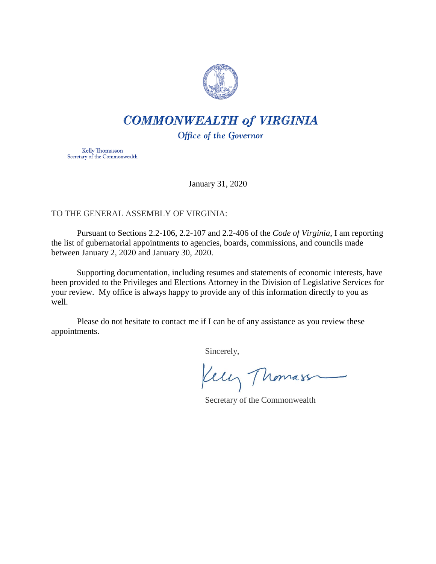

# **COMMONWEALTH of VIRGINIA**

Office of the Governor

Kelly Thomasson Secretary of the Commonwealth

January 31, 2020

## TO THE GENERAL ASSEMBLY OF VIRGINIA:

Pursuant to Sections 2.2-106, 2.2-107 and 2.2-406 of the *Code of Virginia*, I am reporting the list of gubernatorial appointments to agencies, boards, commissions, and councils made between January 2, 2020 and January 30, 2020.

Supporting documentation, including resumes and statements of economic interests, have been provided to the Privileges and Elections Attorney in the Division of Legislative Services for your review. My office is always happy to provide any of this information directly to you as well.

Please do not hesitate to contact me if I can be of any assistance as you review these appointments.

Sincerely,

Kelly Thomass

Secretary of the Commonwealth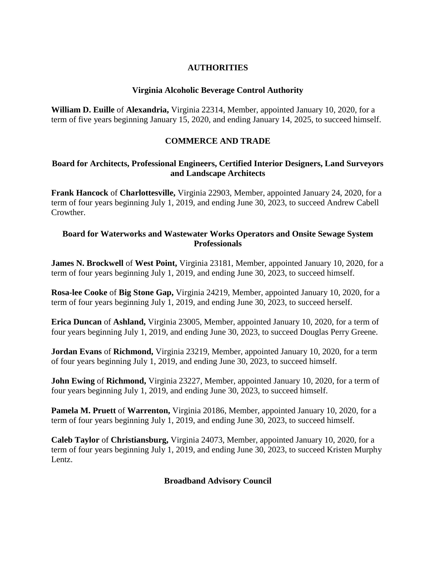## **AUTHORITIES**

## **Virginia Alcoholic Beverage Control Authority**

**William D. Euille** of **Alexandria,** Virginia 22314, Member, appointed January 10, 2020, for a term of five years beginning January 15, 2020, and ending January 14, 2025, to succeed himself.

# **COMMERCE AND TRADE**

## **Board for Architects, Professional Engineers, Certified Interior Designers, Land Surveyors and Landscape Architects**

**Frank Hancock** of **Charlottesville,** Virginia 22903, Member, appointed January 24, 2020, for a term of four years beginning July 1, 2019, and ending June 30, 2023, to succeed Andrew Cabell Crowther.

## **Board for Waterworks and Wastewater Works Operators and Onsite Sewage System Professionals**

**James N. Brockwell** of **West Point,** Virginia 23181, Member, appointed January 10, 2020, for a term of four years beginning July 1, 2019, and ending June 30, 2023, to succeed himself.

**Rosa-lee Cooke** of **Big Stone Gap,** Virginia 24219, Member, appointed January 10, 2020, for a term of four years beginning July 1, 2019, and ending June 30, 2023, to succeed herself.

**Erica Duncan** of **Ashland,** Virginia 23005, Member, appointed January 10, 2020, for a term of four years beginning July 1, 2019, and ending June 30, 2023, to succeed Douglas Perry Greene.

**Jordan Evans** of **Richmond,** Virginia 23219, Member, appointed January 10, 2020, for a term of four years beginning July 1, 2019, and ending June 30, 2023, to succeed himself.

**John Ewing** of **Richmond,** Virginia 23227, Member, appointed January 10, 2020, for a term of four years beginning July 1, 2019, and ending June 30, 2023, to succeed himself.

**Pamela M. Pruett** of **Warrenton,** Virginia 20186, Member, appointed January 10, 2020, for a term of four years beginning July 1, 2019, and ending June 30, 2023, to succeed himself.

**Caleb Taylor** of **Christiansburg,** Virginia 24073, Member, appointed January 10, 2020, for a term of four years beginning July 1, 2019, and ending June 30, 2023, to succeed Kristen Murphy Lentz.

#### **Broadband Advisory Council**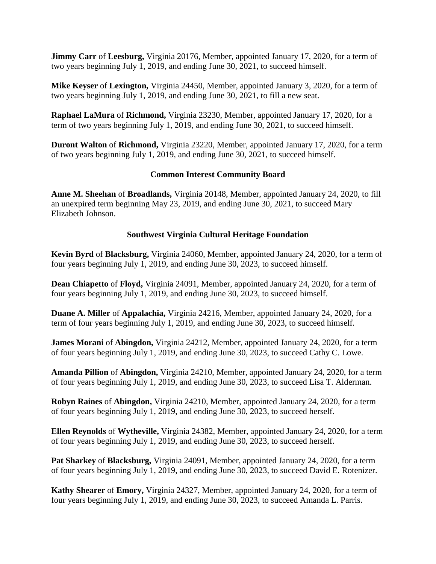**Jimmy Carr** of **Leesburg,** Virginia 20176, Member, appointed January 17, 2020, for a term of two years beginning July 1, 2019, and ending June 30, 2021, to succeed himself.

**Mike Keyser** of **Lexington,** Virginia 24450, Member, appointed January 3, 2020, for a term of two years beginning July 1, 2019, and ending June 30, 2021, to fill a new seat.

**Raphael LaMura** of **Richmond,** Virginia 23230, Member, appointed January 17, 2020, for a term of two years beginning July 1, 2019, and ending June 30, 2021, to succeed himself.

**Duront Walton** of **Richmond,** Virginia 23220, Member, appointed January 17, 2020, for a term of two years beginning July 1, 2019, and ending June 30, 2021, to succeed himself.

## **Common Interest Community Board**

**Anne M. Sheehan** of **Broadlands,** Virginia 20148, Member, appointed January 24, 2020, to fill an unexpired term beginning May 23, 2019, and ending June 30, 2021, to succeed Mary Elizabeth Johnson.

## **Southwest Virginia Cultural Heritage Foundation**

**Kevin Byrd** of **Blacksburg,** Virginia 24060, Member, appointed January 24, 2020, for a term of four years beginning July 1, 2019, and ending June 30, 2023, to succeed himself.

**Dean Chiapetto** of **Floyd,** Virginia 24091, Member, appointed January 24, 2020, for a term of four years beginning July 1, 2019, and ending June 30, 2023, to succeed himself.

**Duane A. Miller** of **Appalachia,** Virginia 24216, Member, appointed January 24, 2020, for a term of four years beginning July 1, 2019, and ending June 30, 2023, to succeed himself.

**James Morani** of **Abingdon,** Virginia 24212, Member, appointed January 24, 2020, for a term of four years beginning July 1, 2019, and ending June 30, 2023, to succeed Cathy C. Lowe.

**Amanda Pillion** of **Abingdon,** Virginia 24210, Member, appointed January 24, 2020, for a term of four years beginning July 1, 2019, and ending June 30, 2023, to succeed Lisa T. Alderman.

**Robyn Raines** of **Abingdon,** Virginia 24210, Member, appointed January 24, 2020, for a term of four years beginning July 1, 2019, and ending June 30, 2023, to succeed herself.

**Ellen Reynolds** of **Wytheville,** Virginia 24382, Member, appointed January 24, 2020, for a term of four years beginning July 1, 2019, and ending June 30, 2023, to succeed herself.

**Pat Sharkey** of **Blacksburg,** Virginia 24091, Member, appointed January 24, 2020, for a term of four years beginning July 1, 2019, and ending June 30, 2023, to succeed David E. Rotenizer.

**Kathy Shearer** of **Emory,** Virginia 24327, Member, appointed January 24, 2020, for a term of four years beginning July 1, 2019, and ending June 30, 2023, to succeed Amanda L. Parris.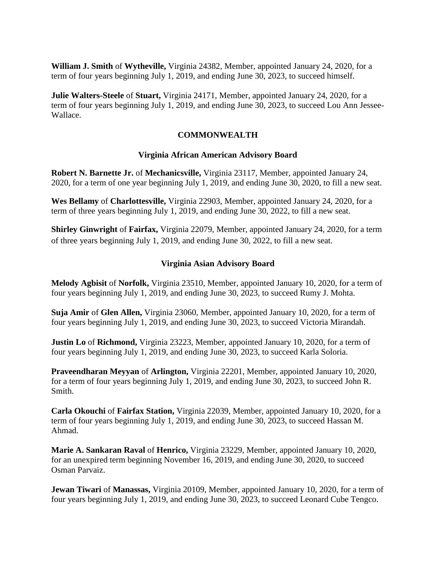**William J. Smith** of **Wytheville,** Virginia 24382, Member, appointed January 24, 2020, for a term of four years beginning July 1, 2019, and ending June 30, 2023, to succeed himself.

**Julie Walters-Steele** of **Stuart,** Virginia 24171, Member, appointed January 24, 2020, for a term of four years beginning July 1, 2019, and ending June 30, 2023, to succeed Lou Ann Jessee-Wallace.

# **COMMONWEALTH**

## **Virginia African American Advisory Board**

**Robert N. Barnette Jr.** of **Mechanicsville,** Virginia 23117, Member, appointed January 24, 2020, for a term of one year beginning July 1, 2019, and ending June 30, 2020, to fill a new seat.

**Wes Bellamy** of **Charlottesville,** Virginia 22903, Member, appointed January 24, 2020, for a term of three years beginning July 1, 2019, and ending June 30, 2022, to fill a new seat.

**Shirley Ginwright** of **Fairfax,** Virginia 22079, Member, appointed January 24, 2020, for a term of three years beginning July 1, 2019, and ending June 30, 2022, to fill a new seat.

## **Virginia Asian Advisory Board**

**Melody Agbisit** of **Norfolk,** Virginia 23510, Member, appointed January 10, 2020, for a term of four years beginning July 1, 2019, and ending June 30, 2023, to succeed Rumy J. Mohta.

**Suja Amir** of **Glen Allen,** Virginia 23060, Member, appointed January 10, 2020, for a term of four years beginning July 1, 2019, and ending June 30, 2023, to succeed Victoria Mirandah.

**Justin Lo** of **Richmond,** Virginia 23223, Member, appointed January 10, 2020, for a term of four years beginning July 1, 2019, and ending June 30, 2023, to succeed Karla Soloria.

**Praveendharan Meyyan** of **Arlington,** Virginia 22201, Member, appointed January 10, 2020, for a term of four years beginning July 1, 2019, and ending June 30, 2023, to succeed John R. Smith.

**Carla Okouchi** of **Fairfax Station,** Virginia 22039, Member, appointed January 10, 2020, for a term of four years beginning July 1, 2019, and ending June 30, 2023, to succeed Hassan M. Ahmad.

**Marie A. Sankaran Raval** of **Henrico,** Virginia 23229, Member, appointed January 10, 2020, for an unexpired term beginning November 16, 2019, and ending June 30, 2020, to succeed Osman Parvaiz.

**Jewan Tiwari** of **Manassas**, Virginia 20109, Member, appointed January 10, 2020, for a term of four years beginning July 1, 2019, and ending June 30, 2023, to succeed Leonard Cube Tengco.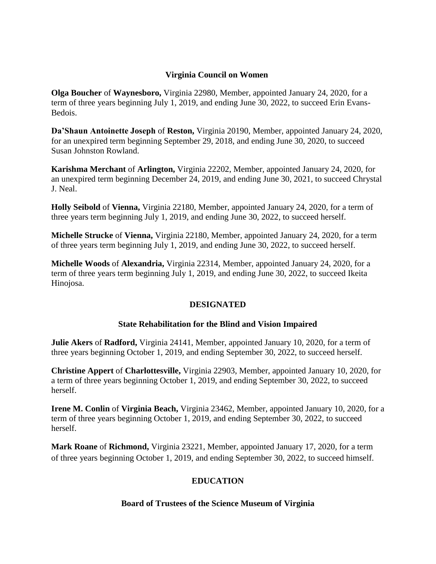## **Virginia Council on Women**

**Olga Boucher** of **Waynesboro,** Virginia 22980, Member, appointed January 24, 2020, for a term of three years beginning July 1, 2019, and ending June 30, 2022, to succeed Erin Evans-Bedois.

**Da'Shaun Antoinette Joseph** of **Reston,** Virginia 20190, Member, appointed January 24, 2020, for an unexpired term beginning September 29, 2018, and ending June 30, 2020, to succeed Susan Johnston Rowland.

**Karishma Merchant** of **Arlington,** Virginia 22202, Member, appointed January 24, 2020, for an unexpired term beginning December 24, 2019, and ending June 30, 2021, to succeed Chrystal J. Neal.

**Holly Seibold** of **Vienna,** Virginia 22180, Member, appointed January 24, 2020, for a term of three years term beginning July 1, 2019, and ending June 30, 2022, to succeed herself.

**Michelle Strucke** of **Vienna,** Virginia 22180, Member, appointed January 24, 2020, for a term of three years term beginning July 1, 2019, and ending June 30, 2022, to succeed herself.

**Michelle Woods** of **Alexandria,** Virginia 22314, Member, appointed January 24, 2020, for a term of three years term beginning July 1, 2019, and ending June 30, 2022, to succeed Ikeita Hinojosa.

## **DESIGNATED**

## **State Rehabilitation for the Blind and Vision Impaired**

**Julie Akers** of **Radford,** Virginia 24141, Member, appointed January 10, 2020, for a term of three years beginning October 1, 2019, and ending September 30, 2022, to succeed herself.

**Christine Appert** of **Charlottesville,** Virginia 22903, Member, appointed January 10, 2020, for a term of three years beginning October 1, 2019, and ending September 30, 2022, to succeed herself.

**Irene M. Conlin** of **Virginia Beach,** Virginia 23462, Member, appointed January 10, 2020, for a term of three years beginning October 1, 2019, and ending September 30, 2022, to succeed herself.

**Mark Roane** of **Richmond,** Virginia 23221, Member, appointed January 17, 2020, for a term of three years beginning October 1, 2019, and ending September 30, 2022, to succeed himself.

## **EDUCATION**

#### **Board of Trustees of the Science Museum of Virginia**